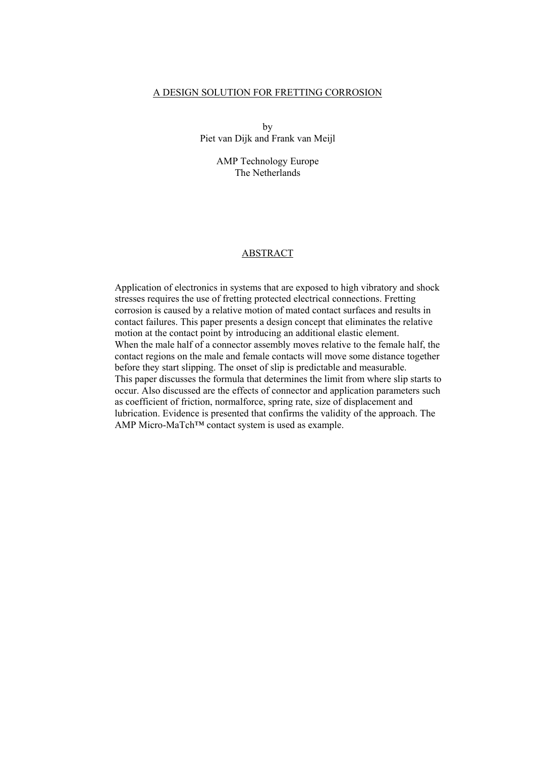#### A DESIGN SOLUTION FOR FRETTING CORROSION

by Piet van Dijk and Frank van Meijl

> AMP Technology Europe The Netherlands

## ABSTRACT

Application of electronics in systems that are exposed to high vibratory and shock stresses requires the use of fretting protected electrical connections. Fretting corrosion is caused by a relative motion of mated contact surfaces and results in contact failures. This paper presents a design concept that eliminates the relative motion at the contact point by introducing an additional elastic element. When the male half of a connector assembly moves relative to the female half, the contact regions on the male and female contacts will move some distance together before they start slipping. The onset of slip is predictable and measurable. This paper discusses the formula that determines the limit from where slip starts to occur. Also discussed are the effects of connector and application parameters such as coefficient of friction, normalforce, spring rate, size of displacement and lubrication. Evidence is presented that confirms the validity of the approach. The AMP Micro-MaTch™ contact system is used as example.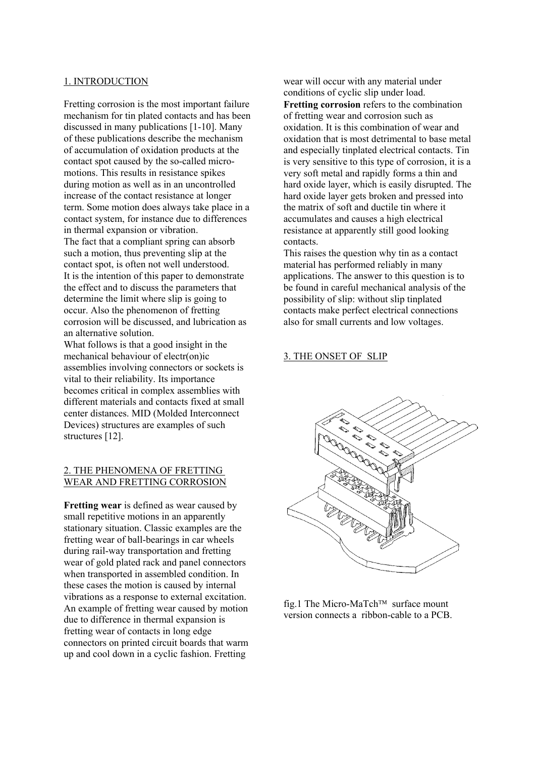## 1. INTRODUCTION

Fretting corrosion is the most important failure mechanism for tin plated contacts and has been discussed in many publications [1-10]. Many of these publications describe the mechanism of accumulation of oxidation products at the contact spot caused by the so-called micromotions. This results in resistance spikes during motion as well as in an uncontrolled increase of the contact resistance at longer term. Some motion does always take place in a contact system, for instance due to differences in thermal expansion or vibration.

The fact that a compliant spring can absorb such a motion, thus preventing slip at the contact spot, is often not well understood. It is the intention of this paper to demonstrate the effect and to discuss the parameters that determine the limit where slip is going to occur. Also the phenomenon of fretting corrosion will be discussed, and lubrication as an alternative solution.

What follows is that a good insight in the mechanical behaviour of electr(on)ic assemblies involving connectors or sockets is vital to their reliability. Its importance becomes critical in complex assemblies with different materials and contacts fixed at small center distances. MID (Molded Interconnect Devices) structures are examples of such structures [12].

## 2. THE PHENOMENA OF FRETTING WEAR AND FRETTING CORROSION

**Fretting wear** is defined as wear caused by small repetitive motions in an apparently stationary situation. Classic examples are the fretting wear of ball-bearings in car wheels during rail-way transportation and fretting wear of gold plated rack and panel connectors when transported in assembled condition. In these cases the motion is caused by internal vibrations as a response to external excitation. An example of fretting wear caused by motion due to difference in thermal expansion is fretting wear of contacts in long edge connectors on printed circuit boards that warm up and cool down in a cyclic fashion. Fretting

wear will occur with any material under conditions of cyclic slip under load. **Fretting corrosion** refers to the combination of fretting wear and corrosion such as oxidation. It is this combination of wear and oxidation that is most detrimental to base metal and especially tinplated electrical contacts. Tin is very sensitive to this type of corrosion, it is a very soft metal and rapidly forms a thin and hard oxide layer, which is easily disrupted. The hard oxide layer gets broken and pressed into the matrix of soft and ductile tin where it accumulates and causes a high electrical resistance at apparently still good looking contacts.

This raises the question why tin as a contact material has performed reliably in many applications. The answer to this question is to be found in careful mechanical analysis of the possibility of slip: without slip tinplated contacts make perfect electrical connections also for small currents and low voltages.

## 3. THE ONSET OF SLIP



fig.1 The Micro-MaTch<sup>TM</sup> surface mount version connects a ribbon-cable to a PCB.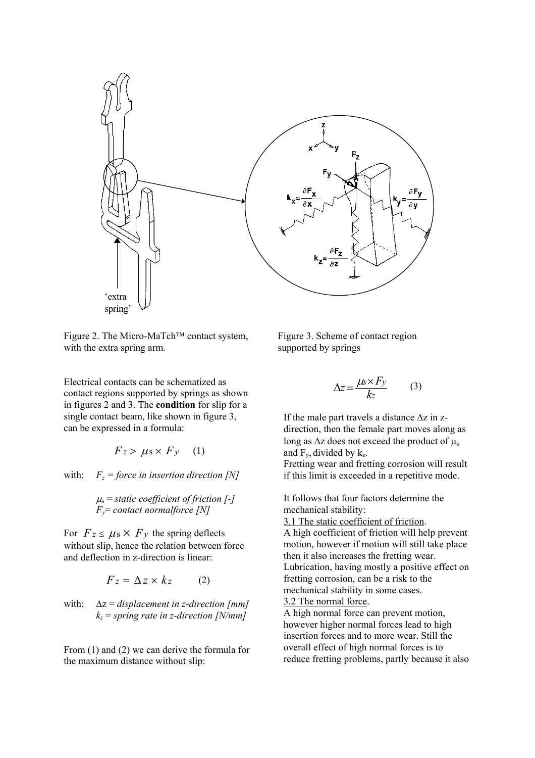

Figure 2. The Micro-MaTch<sup>TM</sup> contact system, Figure 3. Scheme of contact region with the extra spring arm. Supported by springs supported by springs

Electrical contacts can be schematized as contact regions supported by springs as shown in figures 2 and 3. The **condition** for slip for a single contact beam, like shown in figure 3, can be expressed in a formula:

$$
F_z > \mu s \times F_y \quad (1)
$$

with:  $F_z = force$  in insertion direction [N]

<sup>µ</sup>s = *static coefficient of friction [-] Fy*= *contact normalforce [N]*

For  $F_z \le \mu$ s  $\times F_y$  the spring deflects without slip, hence the relation between force and deflection in z-direction is linear:

$$
F_z = \Delta z \times k_z \tag{2}
$$

with: ∆z = *displacement in z-direction [mm]*  $k_z$  = *spring rate in z-direction [N/mm]* 

From (1) and (2) we can derive the formula for the maximum distance without slip:

$$
\Delta z = \frac{\mu s \times F_y}{kz} \tag{3}
$$

If the male part travels a distance ∆z in zdirection, then the female part moves along as long as  $\Delta z$  does not exceed the product of  $\mu$ <sub>s</sub> and  $F_v$ , divided by  $k_z$ .

Fretting wear and fretting corrosion will result if this limit is exceeded in a repetitive mode.

It follows that four factors determine the mechanical stability:

3.1 The static coefficient of friction.

A high coefficient of friction will help prevent motion, however if motion will still take place then it also increases the fretting wear. Lubrication, having mostly a positive effect on fretting corrosion, can be a risk to the mechanical stability in some cases.

3.2 The normal force.

A high normal force can prevent motion, however higher normal forces lead to high insertion forces and to more wear. Still the overall effect of high normal forces is to reduce fretting problems, partly because it also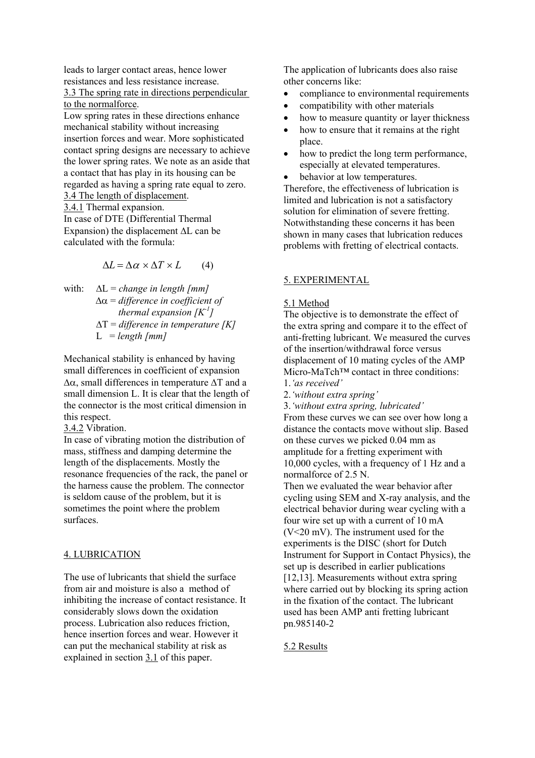leads to larger contact areas, hence lower resistances and less resistance increase. 3.3 The spring rate in directions perpendicular to the normalforce.

Low spring rates in these directions enhance mechanical stability without increasing insertion forces and wear. More sophisticated contact spring designs are necessary to achieve the lower spring rates. We note as an aside that a contact that has play in its housing can be regarded as having a spring rate equal to zero.

# 3.4 The length of displacement.

3.4.1 Thermal expansion.

In case of DTE (Differential Thermal Expansion) the displacement ∆L can be calculated with the formula:

$$
\Delta L = \Delta \alpha \times \Delta T \times L \qquad (4)
$$

with: ∆L = *change in length [mm]* ∆α = *difference in coefficient of thermal expansion*  $[K^{-1}]$ ∆T = *difference in temperature [K]*  $L = length |mm|$ 

Mechanical stability is enhanced by having small differences in coefficient of expansion ∆α, small differences in temperature ∆T and a small dimension L. It is clear that the length of the connector is the most critical dimension in this respect.

3.4.2 Vibration.

In case of vibrating motion the distribution of mass, stiffness and damping determine the length of the displacements. Mostly the resonance frequencies of the rack, the panel or the harness cause the problem. The connector is seldom cause of the problem, but it is sometimes the point where the problem surfaces.

## 4. LUBRICATION

The use of lubricants that shield the surface from air and moisture is also a method of inhibiting the increase of contact resistance. It considerably slows down the oxidation process. Lubrication also reduces friction, hence insertion forces and wear. However it can put the mechanical stability at risk as explained in section 3.1 of this paper.

The application of lubricants does also raise other concerns like:

- compliance to environmental requirements
- compatibility with other materials
- how to measure quantity or layer thickness
- how to ensure that it remains at the right place.
- how to predict the long term performance, especially at elevated temperatures.
- behavior at low temperatures.

Therefore, the effectiveness of lubrication is limited and lubrication is not a satisfactory solution for elimination of severe fretting. Notwithstanding these concerns it has been shown in many cases that lubrication reduces problems with fretting of electrical contacts.

## 5. EXPERIMENTAL

## 5.1 Method

The objective is to demonstrate the effect of the extra spring and compare it to the effect of anti-fretting lubricant. We measured the curves of the insertion/withdrawal force versus displacement of 10 mating cycles of the AMP Micro-MaTch™ contact in three conditions: 1. *'as received'*

- 2. *'without extra spring'*
- 3. *'without extra spring, lubricated'*

From these curves we can see over how long a distance the contacts move without slip. Based on these curves we picked 0.04 mm as amplitude for a fretting experiment with 10,000 cycles, with a frequency of 1 Hz and a normalforce of 2.5 N.

Then we evaluated the wear behavior after cycling using SEM and X-ray analysis, and the electrical behavior during wear cycling with a four wire set up with a current of 10 mA (V<20 mV). The instrument used for the experiments is the DISC (short for Dutch Instrument for Support in Contact Physics), the set up is described in earlier publications [12,13]. Measurements without extra spring] where carried out by blocking its spring action in the fixation of the contact. The lubricant used has been AMP anti fretting lubricant pn.985140-2

## 5.2 Results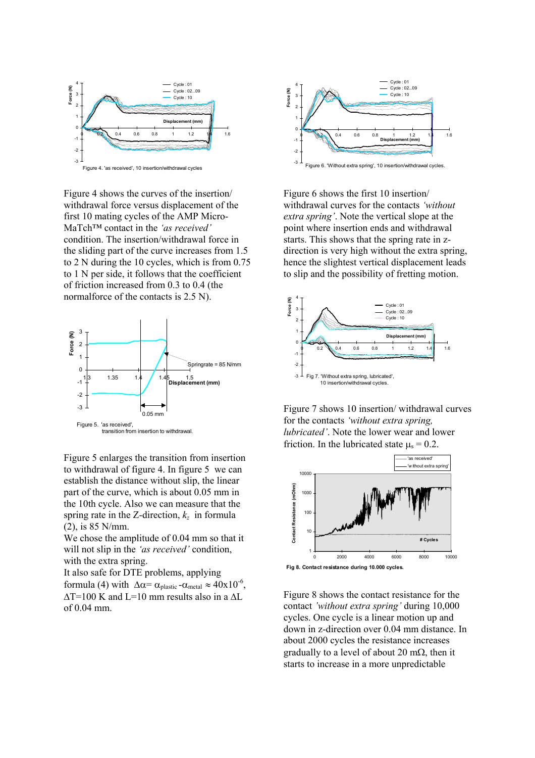

Figure 4 shows the curves of the insertion/ withdrawal force versus displacement of the first 10 mating cycles of the AMP Micro-MaTch™ contact in the *'as received'* condition. The insertion/withdrawal force in the sliding part of the curve increases from 1.5 to 2 N during the 10 cycles, which is from 0.75 to 1 N per side, it follows that the coefficient of friction increased from 0.3 to 0.4 (the normalforce of the contacts is 2.5 N).



Figure 5 enlarges the transition from insertion to withdrawal of figure 4. In figure 5 we can establish the distance without slip, the linear part of the curve, which is about 0.05 mm in the 10th cycle. Also we can measure that the spring rate in the Z-direction,  $k_z$  in formula (2), is 85 N/mm.

We chose the amplitude of 0.04 mm so that it will not slip in the *'as received'* condition, with the extra spring.

It also safe for DTE problems, applying formula (4) with  $\Delta \alpha = \alpha_{\text{plastic}} - \alpha_{\text{metal}} \approx 40 \times 10^{-6}$ ,  $\Delta T$ =100 K and L=10 mm results also in a  $\Delta L$ of 0.04 mm.



Figure 6 shows the first 10 insertion/ withdrawal curves for the contacts *'without extra spring'*. Note the vertical slope at the point where insertion ends and withdrawal starts. This shows that the spring rate in zdirection is very high without the extra spring, hence the slightest vertical displacement leads to slip and the possibility of fretting motion.



Figure 7 shows 10 insertion/ withdrawal curves for the contacts *'without extra spring, lubricated'*. Note the lower wear and lower friction. In the lubricated state  $\mu_s = 0.2$ .



Figure 8 shows the contact resistance for the contact *'without extra spring'* during 10,000 cycles. One cycle is a linear motion up and down in z-direction over 0.04 mm distance. In about 2000 cycles the resistance increases gradually to a level of about 20 m $\Omega$ , then it starts to increase in a more unpredictable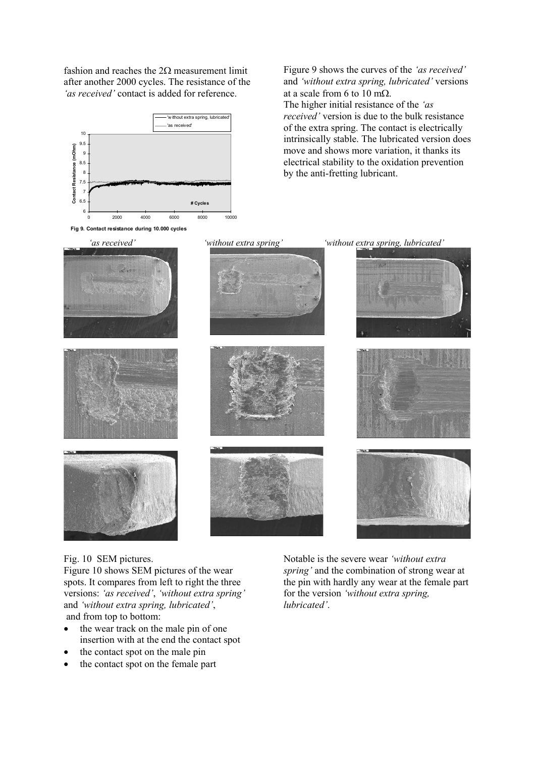fashion and reaches the  $2\Omega$  measurement limit after another 2000 cycles. The resistance of the *'as received'* contact is added for reference.



Figure 9 shows the curves of the *'as received'* and *'without extra spring, lubricated'* versions at a scale from 6 to 10 m $\Omega$ . The higher initial resistance of the *'as received'* version is due to the bulk resistance of the extra spring. The contact is electrically intrinsically stable. The lubricated version does move and shows more variation, it thanks its electrical stability to the oxidation prevention by the anti-fretting lubricant.



Fig. 10 SEM pictures.

Figure 10 shows SEM pictures of the wear spots. It compares from left to right the three versions: *'as received'*, *'without extra spring'* and *'without extra spring, lubricated'*, and from top to bottom:

- the wear track on the male pin of one insertion with at the end the contact spot
- the contact spot on the male pin
- the contact spot on the female part

Notable is the severe wear *'without extra spring'* and the combination of strong wear at the pin with hardly any wear at the female part for the version *'without extra spring, lubricated'*.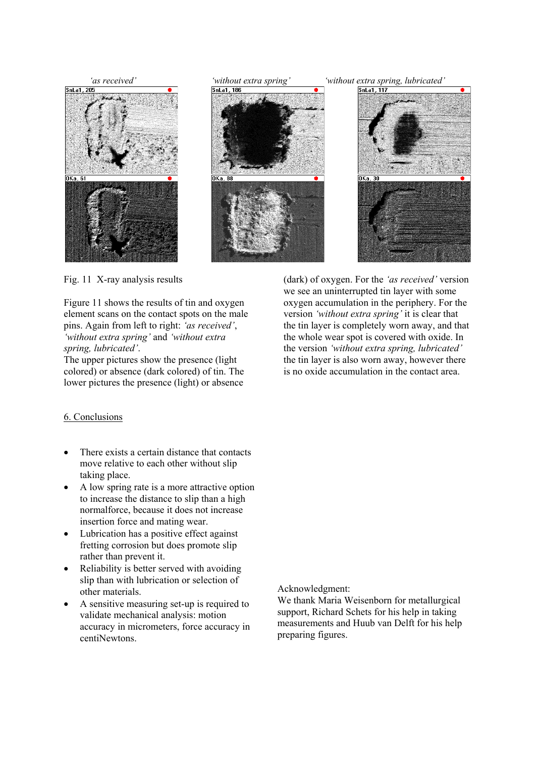



(dark) of oxygen. For the *'as received'* version we see an uninterrupted tin layer with some oxygen accumulation in the periphery. For the version *'without extra spring'* it is clear that the tin layer is completely worn away, and that the whole wear spot is covered with oxide. In the version *'without extra spring, lubricated'* the tin layer is also worn away, however there is no oxide accumulation in the contact area.



Fig. 11 X-ray analysis results

Figure 11 shows the results of tin and oxygen element scans on the contact spots on the male pins. Again from left to right: *'as received'*, *'without extra spring'* and *'without extra spring, lubricated'*.

The upper pictures show the presence (light colored) or absence (dark colored) of tin. The lower pictures the presence (light) or absence

#### 6. Conclusions

- There exists a certain distance that contacts move relative to each other without slip taking place.
- A low spring rate is a more attractive option to increase the distance to slip than a high normalforce, because it does not increase insertion force and mating wear.
- Lubrication has a positive effect against fretting corrosion but does promote slip rather than prevent it.
- Reliability is better served with avoiding slip than with lubrication or selection of other materials.
- A sensitive measuring set-up is required to validate mechanical analysis: motion accuracy in micrometers, force accuracy in centiNewtons.

Acknowledgment:

We thank Maria Weisenborn for metallurgical support, Richard Schets for his help in taking measurements and Huub van Delft for his help preparing figures.